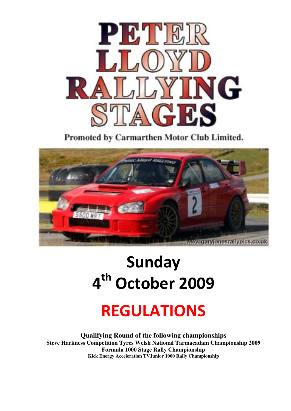

Promoted by Carmarthen Motor Club Limited.



# Sunday 4<sup>th</sup> October 2009

## REGULATIONS

**Qualifying Round of the following championships Steve Harkness Competition Tyres Welsh National Tarmacadam Championship 2009 Formula 1000 Stage Rally Championship Kick Energy Acceleration TVJunior 1000 Rally Championship**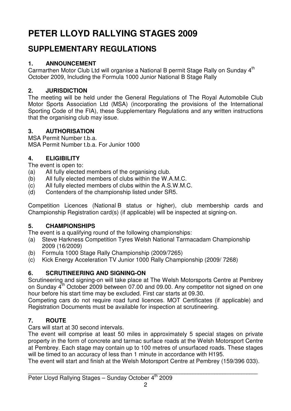## **PETER LLOYD RALLYING STAGES 2009**

### **SUPPLEMENTARY REGULATIONS**

#### **1. ANNOUNCEMENT**

Carmarthen Motor Club Ltd will organise a National B permit Stage Rally on Sunday 4<sup>th</sup> October 2009, Including the Formula 1000 Junior National B Stage Rally

#### **2. JURISDICTION**

The meeting will be held under the General Regulations of The Royal Automobile Club Motor Sports Association Ltd (MSA) (incorporating the provisions of the International Sporting Code of the FIA), these Supplementary Regulations and any written instructions that the organising club may issue.

#### **3. AUTHORISATION**

MSA Permit Number t.b.a. MSA Permit Number t.b.a. For Junior 1000

#### **4. ELIGIBILITY**

The event is open to:

- (a) All fully elected members of the organising club.
- (b) All fully elected members of clubs within the W.A.M.C.
- (c) All fully elected members of clubs within the A.S.W.M.C.
- (d) Contenders of the championship listed under SR5.

Competition Licences (National B status or higher), club membership cards and Championship Registration card(s) (if applicable) will be inspected at signing-on.

#### **5. CHAMPIONSHIPS**

The event is a qualifying round of the following championships:

- (a) Steve Harkness Competition Tyres Welsh National Tarmacadam Championship 2009 (16/2009)
- (b) Formula 1000 Stage Rally Championship (2009/7265)
- (c) Kick Energy Acceleration TV Junior 1000 Rally Championship (2009/ 7268)

#### **6. SCRUTINEERING AND SIGNING-ON**

Scrutineering and signing-on will take place at The Welsh Motorsports Centre at Pembrey on Sunday  $4^{\text{th}}$  October 2009 between 07.00 and 09.00. Any competitor not signed on one hour before his start time may be excluded. First car starts at 09.30.

Competing cars do not require road fund licences. MOT Certificates (if applicable) and Registration Documents must be available for inspection at scrutineering.

#### **7. ROUTE**

Cars will start at 30 second intervals.

The event will comprise at least 50 miles in approximately 5 special stages on private property in the form of concrete and tarmac surface roads at the Welsh Motorsport Centre at Pembrey. Each stage may contain up to 100 metres of unsurfaced roads. These stages will be timed to an accuracy of less than 1 minute in accordance with H195.

The event will start and finish at the Welsh Motorsport Centre at Pembrey (159/396 033).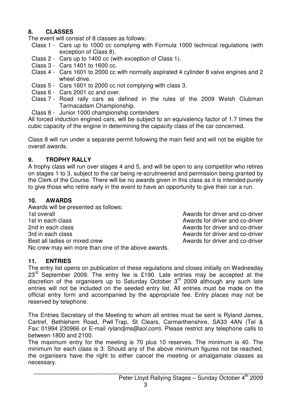#### **8. CLASSES**

The event will consist of 8 classes as follows:

- Class 1 Cars up to 1000 cc complying with Formula 1000 technical regulations (with exception of Class 8).
- Class 2 Cars up to 1400 cc (with exception of Class 1).
- Class 3 Cars 1401 to 1600 cc.
- Class 4 Cars 1601 to 2000 cc with normally aspirated 4 cylinder 8 valve engines and 2 wheel drive.
- Class 5 Cars 1601 to 2000 cc not complying with class 3.
- Class 6 Cars 2001 cc and over.
- Class 7 Road rally cars as defined in the rules of the 2009 Welsh Clubman Tarmacadam Championship.
- Class 8 Junior 1000 championship contenders

All forced induction engined cars, will be subject to an equivalency factor of 1.7 times the cubic capacity of the engine in determining the capacity class of the car concerned.

Class 8 will run under a separate permit following the main field and will not be eligible for overall awards.

#### **9. TROPHY RALLY**

A trophy class will run over stages 4 and 5, and will be open to any competitor who retires on stages 1 to 3, subject to the car being re-scrutineered and permission being granted by the Clerk of the Course. There will be no awards given in this class as it is intended purely to give those who retire early in the event to have an opportunity to give their car a run.

#### **10. AWARDS**

Awards will be presented as follows: 1st overall Awards for driver and co-driver 1st in each class **Awards for driver and co-driver**<br>
2nd in each class **Awards for driver and co-driver**<br>
Awards for driver and co-driver 3rd in each class and co-driver and co-driver and co-driver Best all ladies or mixed crew Awards for driver and co-driver No crew may win more than one of the above awards.

Awards for driver and co-driver

#### **11. ENTRIES**

The entry list opens on publication of these regulations and closes initially on Wednesday  $23<sup>rd</sup>$  September 2009. The entry fee is £190. Late entries may be accepted at the discretion of the organisers up to Saturday October  $3<sup>rd</sup>$  2009 although any such late entries will not be included on the seeded entry list. All entries must be made on the official entry form and accompanied by the appropriate fee. Entry places may not be reserved by telephone.

The Entries Secretary of the Meeting to whom all entries must be sent is Ryland James, Cartref, Bethlehem Road, Pwll Trap, St Clears, Carmarthenshire, SA33 4AN (Tel & Fax: 01994 230966 or E-mail rylandjms@aol.com). Please restrict any telephone calls to between 1800 and 2100.

The maximum entry for the meeting is 70 plus 10 reserves. The minimum is 40. The minimum for each class is 3. Should any of the above minimum figures not be reached, the organisers have the right to either cancel the meeting or amalgamate classes as necessary.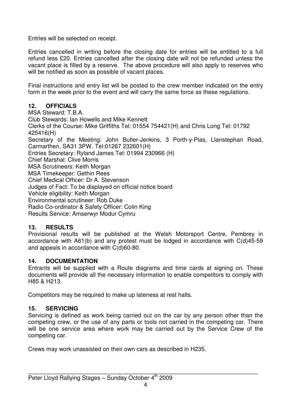Entries will be selected on receipt.

Entries cancelled in writing before the closing date for entries will be entitled to a full refund less £20. Entries cancelled after the closing date will not be refunded unless the vacant place is filled by a reserve. The above procedure will also apply to reserves who will be notified as soon as possible of vacant places.

Final instructions and entry list will be posted to the crew member indicated on the entry form in the week prior to the event and will carry the same force as these regulations.

#### **12. OFFICIALS**

MSA Steward: T.B.A. Club Stewards: Ian Howells and Mike Kennett Clerks of the Course: Mike Griffiths Tel: 01554 754421(H) and Chris Long Tel: 01792 425416(H) Secretary of the Meeting: John Butler-Jenkins, 3 Porth-y-Plas, Llanstephan Road, Carmarthen, SA31 3PW. Tel:01267 232601(H) Entries Secretary: Ryland James Tel: 01994 230966 (H) Chief Marshal: Clive Morris MSA Scrutineers: Keith Morgan MSA Timekeeper: Gethin Rees Chief Medical Officer: Dr A. Stevenson Judges of Fact: To be displayed on official notice board Vehicle eligibility: Keith Morgan Environmental scrutineer: Rob Duke Radio Co-ordinator & Safety Officer: Colin King Results Service: Amserwyr Modur Cymru

#### **13. RESULTS**

Provisional results will be published at the Welsh Motorsport Centre, Pembrey in accordance with A61(b) and any protest must be lodged in accordance with C(d)45-59 and appeals in accordance with C(d)60-80.

#### **14. DOCUMENTATION**

Entrants will be supplied with a Route diagrams and time cards at signing on. These documents will provide all the necessary information to enable competitors to comply with H85 & H213.

Competitors may be required to make up lateness at rest halts.

#### **15. SERVICING**

Servicing is defined as work being carried out on the car by any person other than the competing crew, or the use of any parts or tools not carried in the competing car. There will be one service area where work may be carried out by the Service Crew of the competing car.

Crews may work unassisted on their own cars as described in H235.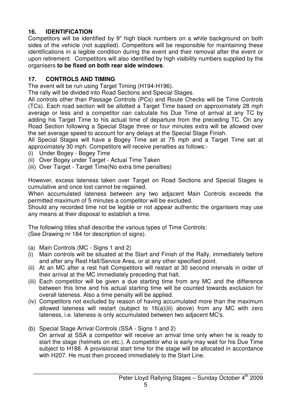#### **16. IDENTIFICATION**

Competitors will be identified by 9" high black numbers on a white background on both sides of the vehicle (not supplied). Competitors will be responsible for maintaining these identifications in a legible condition during the event and their removal after the event or upon retirement. Competitors will also identified by high visibility numbers supplied by the organisers **to be fixed on both rear side windows**.

#### **17. CONTROLS AND TIMING**

The event will be run using Target Timing (H194-H196).

The rally will be divided into Road Sections and Special Stages.

All controls other than Passage Controls (PCs) and Route Checks will be Time Controls (TCs). Each road section will be allotted a Target Time based on approximately 28 mph average or less and a competitor can calculate his Due Time of arrival at any TC by adding his Target Time to his actual time of departure from the preceding TC. On any Road Section following a Special Stage three or four minutes extra will be allowed over the set average speed to account for any delays at the Special Stage Finish.

All Special Stages will have a Bogey Time set at 75 mph and a Target Time set at approximately 30 mph. Competitors will receive penalties as follows:-

- (i) Under Bogey Bogey Time
- (ii) Over Bogey under Target Actual Time Taken
- (iii) Over Target Target Time(No extra time penalties)

However, excess lateness taken over Target on Road Sections and Special Stages is cumulative and once lost cannot be regained.

When accumulated lateness between any two adjacent Main Controls exceeds the permitted maximum of 5 minutes a competitor will be excluded.

Should any recorded time not be legible or not appear authentic the organisers may use any means at their disposal to establish a time.

The following titles shall describe the various types of Time Controls: (See Drawing nr 184 for description of signs).

- (a) Main Controls (MC Signs 1 and 2)
- (i) Main controls will be situated at the Start and Finish of the Rally, immediately before and after any Rest Halt/Service Area, or at any other specified point.
- (ii) At an MC after a rest halt Competitors will restart at 30 second intervals in order of their arrival at the MC immediately preceding that halt.
- (iii) Each competitor will be given a due starting time from any MC and the difference between this time and his actual starting time will be counted towards exclusion for overall lateness. Also a time penalty will be applied.
- (iv) Competitors not excluded by reason of having accumulated more than the maximum allowed lateness will restart (subject to 16(a)(iii) above) from any MC with zero lateness, i.e. lateness is only accumulated between two adjacent MC's.
- (b) Special Stage Arrival Controls (SSA Signs 1 and 2) On arrival at SSA a competitor will receive an arrival time only when he is ready to start the stage (helmets on etc.). A competitor who is early may wait for his Due Time subject to H188. A provisional start time for the stage will be allocated in accordance with H207. He must then proceed immediately to the Start Line.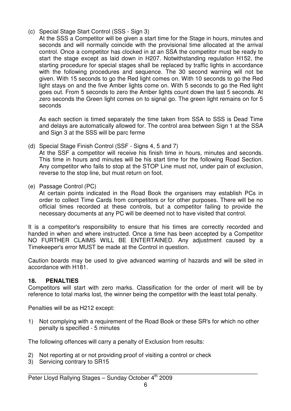- (c) Special Stage Start Control (SSS Sign 3)
	- At the SSS a Competitor will be given a start time for the Stage in hours, minutes and seconds and will normally coincide with the provisional time allocated at the arrival control. Once a competitor has clocked in at an SSA the competitor must be ready to start the stage except as laid down in H207. Notwithstanding regulation H152, the starting procedure for special stages shall be replaced by traffic lights in accordance with the following procedures and sequence. The 30 second warning will not be given. With 15 seconds to go the Red light comes on. With 10 seconds to go the Red light stays on and the five Amber lights come on. With 5 seconds to go the Red light goes out. From 5 seconds to zero the Amber lights count down the last 5 seconds. At zero seconds the Green light comes on to signal go. The green light remains on for 5 seconds

 As each section is timed separately the time taken from SSA to SSS is Dead Time and delays are automatically allowed for. The control area between Sign 1 at the SSA and Sign 3 at the SSS will be parc ferme

(d) Special Stage Finish Control (SSF - Signs 4, 5 and 7)

 At the SSF a competitor will receive his finish time in hours, minutes and seconds. This time in hours and minutes will be his start time for the following Road Section. Any competitor who fails to stop at the STOP Line must not, under pain of exclusion, reverse to the stop line, but must return on foot.

(e) Passage Control (PC)

 At certain points indicated in the Road Book the organisers may establish PCs in order to collect Time Cards from competitors or for other purposes. There will be no official times recorded at these controls, but a competitor failing to provide the necessary documents at any PC will be deemed not to have visited that control.

It is a competitor's responsibility to ensure that his times are correctly recorded and handed in when and where instructed. Once a time has been accepted by a Competitor NO FURTHER CLAIMS WILL BE ENTERTAINED. Any adjustment caused by a Timekeeper's error MUST be made at the Control in question.

Caution boards may be used to give advanced warning of hazards and will be sited in accordance with H181.

#### **18. PENALTIES**

Competitors will start with zero marks. Classification for the order of merit will be by reference to total marks lost, the winner being the competitor with the least total penalty.

Penalties will be as H212 except:

1) Not complying with a requirement of the Road Book or these SR's for which no other penalty is specified - 5 minutes

The following offences will carry a penalty of Exclusion from results:

- 2) Not reporting at or not providing proof of visiting a control or check
- 3) Servicing contrary to SR15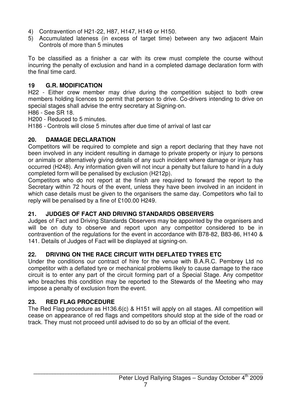- 4) Contravention of H21-22, H87, H147, H149 or H150.
- 5) Accumulated lateness (in excess of target time) between any two adjacent Main Controls of more than 5 minutes

To be classified as a finisher a car with its crew must complete the course without incurring the penalty of exclusion and hand in a completed damage declaration form with the final time card.

#### **19 G.R. MODIFICATION**

H22 - Either crew member may drive during the competition subject to both crew members holding licences to permit that person to drive. Co-drivers intending to drive on special stages shall advise the entry secretary at Signing-on.

H86 - See SR 18.

H200 - Reduced to 5 minutes.

H186 - Controls will close 5 minutes after due time of arrival of last car

#### **20. DAMAGE DECLARATION**

Competitors will be required to complete and sign a report declaring that they have not been involved in any incident resulting in damage to private property or injury to persons or animals or alternatively giving details of any such incident where damage or injury has occurred (H248). Any information given will not incur a penalty but failure to hand in a duly completed form will be penalised by exclusion (H212p).

Competitors who do not report at the finish are required to forward the report to the Secretary within 72 hours of the event, unless they have been involved in an incident in which case details must be given to the organisers the same day. Competitors who fail to reply will be penalised by a fine of £100.00 H249.

#### **21. JUDGES OF FACT AND DRIVING STANDARDS OBSERVERS**

Judges of Fact and Driving Standards Observers may be appointed by the organisers and will be on duty to observe and report upon any competitor considered to be in contravention of the regulations for the event in accordance with B78-82, B83-86, H140 & 141. Details of Judges of Fact will be displayed at signing-on.

#### **22. DRIVING ON THE RACE CIRCUIT WITH DEFLATED TYRES ETC**

Under the conditions our contract of hire for the venue with B.A.R.C. Pembrey Ltd no competitor with a deflated tyre or mechanical problems likely to cause damage to the race circuit is to enter any part of the circuit forming part of a Special Stage. Any competitor who breaches this condition may be reported to the Stewards of the Meeting who may impose a penalty of exclusion from the event.

#### **23. RED FLAG PROCEDURE**

The Red Flag procedure as H136.6(c) & H151 will apply on all stages. All competition will cease on appearance of red flags and competitors should stop at the side of the road or track. They must not proceed until advised to do so by an official of the event.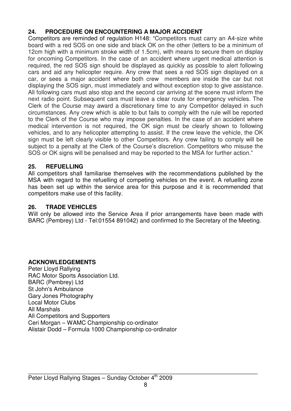#### **24. PROCEDURE ON ENCOUNTERING A MAJOR ACCIDENT**

Competitors are reminded of regulation H148: "Competitors must carry an A4-size white board with a red SOS on one side and black OK on the other (letters to be a minimum of 12cm high with a minimum stroke width of 1.5cm), with means to secure them on display for oncoming Competitors. In the case of an accident where urgent medical attention is required, the red SOS sign should be displayed as quickly as possible to alert following cars and aid any helicopter require. Any crew that sees a red SOS sign displayed on a car, or sees a major accident where both crew members are inside the car but not displaying the SOS sign, must immediately and without exception stop to give assistance. All following cars must also stop and the second car arriving at the scene must inform the next radio point. Subsequent cars must leave a clear route for emergency vehicles. The Clerk of the Course may award a discretionary time to any Competitor delayed in such circumstances. Any crew which is able to but fails to comply with the rule will be reported to the Clerk of the Course who may impose penalties. In the case of an accident where medical intervention is not required, the OK sign must be clearly shown to following vehicles, and to any helicopter attempting to assist. If the crew leave the vehicle, the OK sign must be left clearly visible to other Competitors. Any crew failing to comply will be subject to a penalty at the Clerk of the Course's discretion. Competitors who misuse the SOS or OK signs will be penalised and may be reported to the MSA for further action."

#### **25. REFUELLING**

All competitors shall familiarise themselves with the recommendations published by the MSA with regard to the refuelling of competing vehicles on the event. A refuelling zone has been set up within the service area for this purpose and it is recommended that competitors make use of this facility.

#### **26. TRADE VEHICLES**

Will only be allowed into the Service Area if prior arrangements have been made with BARC (Pembrey) Ltd - Tel:01554 891042) and confirmed to the Secretary of the Meeting.

#### **ACKNOWLEDGEMENTS**

Peter Lloyd Rallying RAC Motor Sports Association Ltd. BARC (Pembrey) Ltd St John's Ambulance Gary Jones Photography Local Motor Clubs All Marshals All Competitors and Supporters Ceri Morgan – WAMC Championship co-ordinator Alistair Dodd – Formula 1000 Championship co-ordinator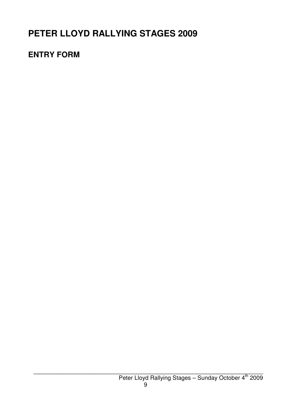## **PETER LLOYD RALLYING STAGES 2009**

## **ENTRY FORM**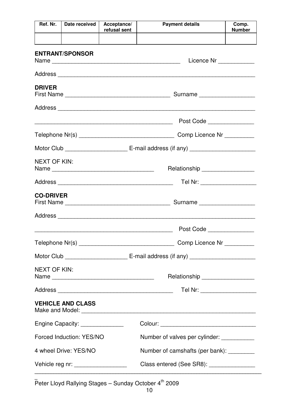| Ref. Nr.                                                 | Date received                                                                                                          | Acceptance/<br>refusal sent                | <b>Payment details</b>                                                                                                                                              | Comp.<br><b>Number</b>  |  |
|----------------------------------------------------------|------------------------------------------------------------------------------------------------------------------------|--------------------------------------------|---------------------------------------------------------------------------------------------------------------------------------------------------------------------|-------------------------|--|
|                                                          |                                                                                                                        |                                            |                                                                                                                                                                     |                         |  |
|                                                          | <b>ENTRANT/SPONSOR</b>                                                                                                 |                                            |                                                                                                                                                                     | Licence Nr ____________ |  |
|                                                          |                                                                                                                        |                                            |                                                                                                                                                                     |                         |  |
| <b>DRIVER</b>                                            |                                                                                                                        |                                            |                                                                                                                                                                     |                         |  |
|                                                          |                                                                                                                        |                                            |                                                                                                                                                                     |                         |  |
|                                                          | <u> 1989 - Johann Barn, mars ann an t-Amhain ann an t-Amhain ann an t-Amhain ann an t-Amhain an t-Amhain ann an t-</u> |                                            | Post Code                                                                                                                                                           |                         |  |
| Comp Licence Nr _________                                |                                                                                                                        |                                            |                                                                                                                                                                     |                         |  |
|                                                          |                                                                                                                        |                                            |                                                                                                                                                                     |                         |  |
| <b>NEXT OF KIN:</b><br>Relationship ____________________ |                                                                                                                        |                                            |                                                                                                                                                                     |                         |  |
| Tel Nr: ____________________                             |                                                                                                                        |                                            |                                                                                                                                                                     |                         |  |
|                                                          | <b>CO-DRIVER</b>                                                                                                       |                                            |                                                                                                                                                                     |                         |  |
|                                                          |                                                                                                                        |                                            |                                                                                                                                                                     |                         |  |
|                                                          |                                                                                                                        |                                            | Post Code <b>Communist Communist Code</b><br><u> 1989 - Johann Stoff, deutscher Stoffen und der Stoffen und der Stoffen und der Stoffen und der Stoffen und der</u> |                         |  |
|                                                          |                                                                                                                        |                                            |                                                                                                                                                                     |                         |  |
|                                                          |                                                                                                                        |                                            |                                                                                                                                                                     |                         |  |
|                                                          | <b>NEXT OF KIN:</b><br>Relationship __________________                                                                 |                                            |                                                                                                                                                                     |                         |  |
|                                                          | Tel Nr: ____________________                                                                                           |                                            |                                                                                                                                                                     |                         |  |
|                                                          | <b>VEHICLE AND CLASS</b>                                                                                               |                                            |                                                                                                                                                                     |                         |  |
|                                                          | Engine Capacity: _______________                                                                                       | Colour: __________________________________ |                                                                                                                                                                     |                         |  |
|                                                          | Forced Induction: YES/NO                                                                                               |                                            | Number of valves per cylinder: ___________                                                                                                                          |                         |  |
|                                                          | 4 wheel Drive: YES/NO                                                                                                  |                                            | Number of camshafts (per bank): _________                                                                                                                           |                         |  |
|                                                          | Class entered (See SR8): ________________<br>Vehicle reg nr: __________________                                        |                                            |                                                                                                                                                                     |                         |  |

**\_**  Peter Lloyd Rallying Stages – Sunday October 4<sup>th</sup> 2009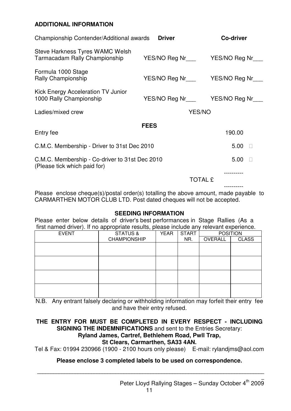#### **ADDITIONAL INFORMATION**

| Championship Contender/Additional awards                                       | <b>Driver</b>                            | Co-driver |
|--------------------------------------------------------------------------------|------------------------------------------|-----------|
| Steve Harkness Tyres WAMC Welsh<br>Tarmacadam Rally Championship               |                                          |           |
| Formula 1000 Stage<br>Rally Championship                                       | YES/NO Reg Nr__________YES/NO Reg Nr____ |           |
| Kick Energy Acceleration TV Junior<br>1000 Rally Championship                  | YES/NO Reg Nr__________YES/NO Reg Nr____ |           |
| Ladies/mixed crew                                                              | YES/NO                                   |           |
|                                                                                | <b>FEES</b>                              |           |
| Entry fee                                                                      |                                          | 190.00    |
| C.M.C. Membership - Driver to 31st Dec 2010                                    | 5.00                                     |           |
| C.M.C. Membership - Co-driver to 31st Dec 2010<br>(Please tick which paid for) | 5.00                                     |           |
| <b>TOTAL £</b>                                                                 |                                          |           |
|                                                                                |                                          |           |

Please enclose cheque(s)/postal order(s) totalling the above amount, made payable to CARMARTHEN MOTOR CLUB LTD. Post dated cheques will not be accepted.

#### **SEEDING INFORMATION**

Please enter below details of driver's best performances in Stage Rallies (As a first named driver). If no appropriate results, please include any relevant experience.

| <b>EVENT</b> | <b>STATUS &amp;</b> | <b>YEAR</b> | <b>START</b> | <b>POSITION</b> |              |
|--------------|---------------------|-------------|--------------|-----------------|--------------|
|              | <b>CHAMPIONSHIP</b> |             | NR.          | OVERALL         | <b>CLASS</b> |
|              |                     |             |              |                 |              |
|              |                     |             |              |                 |              |
|              |                     |             |              |                 |              |
|              |                     |             |              |                 |              |
|              |                     |             |              |                 |              |
|              |                     |             |              |                 |              |
|              |                     |             |              |                 |              |
|              |                     |             |              |                 |              |
|              |                     |             |              |                 |              |
|              |                     |             |              |                 |              |

N.B. Any entrant falsely declaring or withholding information may forfeit their entry fee and have their entry refused.

#### **THE ENTRY FOR MUST BE COMPLETED IN EVERY RESPECT - INCLUDING SIGNING THE INDEMNIFICATIONS** and sent to the Entries Secretary:

#### **Ryland James, Cartref, Bethlehem Road, Pwll Trap,**

#### **St Clears, Carmarthen, SA33 4AN.**

Tel & Fax: 01994 230966 (1900 - 2100 hours only please) E-mail: rylandjms@aol.com

#### **Please enclose 3 completed labels to be used on correspondence.**

**\_\_\_\_\_\_\_\_\_\_\_\_\_\_\_\_\_\_\_\_\_\_\_\_\_\_\_\_\_\_\_\_\_\_\_\_\_\_\_\_\_\_\_\_\_\_\_\_\_\_\_\_\_\_\_\_\_\_\_\_\_\_\_\_\_\_\_\_\_\_\_\_\_\_\_\_\_\_\_\_\_\_\_\_**